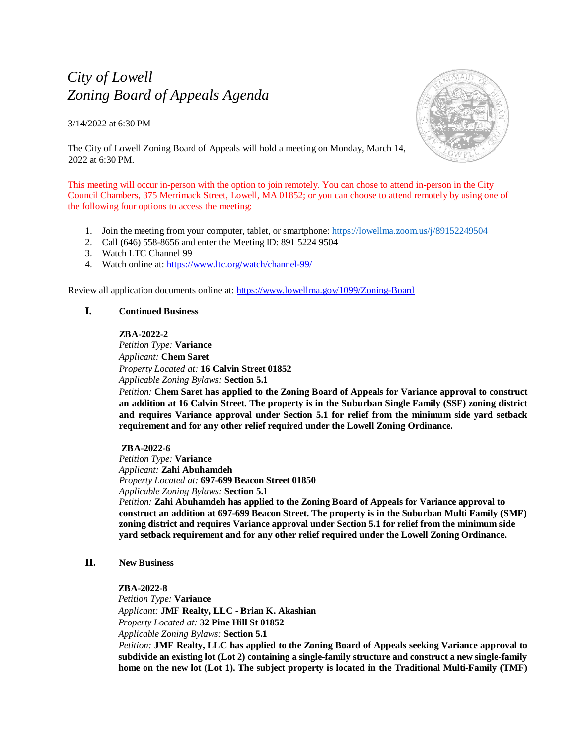# *City of Lowell Zoning Board of Appeals Agenda*

3/14/2022 at 6:30 PM



The City of Lowell Zoning Board of Appeals will hold a meeting on Monday, March 14, 2022 at 6:30 PM.

This meeting will occur in-person with the option to join remotely. You can chose to attend in-person in the City Council Chambers, 375 Merrimack Street, Lowell, MA 01852; or you can choose to attend remotely by using one of the following four options to access the meeting:

- 1. Join the meeting from your computer, tablet, or smartphone:<https://lowellma.zoom.us/j/89152249504>
- 2. Call (646) 558-8656 and enter the Meeting ID: 891 5224 9504
- 3. Watch LTC Channel 99
- 4. Watch online at[: https://www.ltc.org/watch/channel-99/](https://www.ltc.org/watch/channel-99/)

Review all application documents online at: <https://www.lowellma.gov/1099/Zoning-Board>

# **I. Continued Business**

## **ZBA-2022-2**

*Petition Type:* **Variance** *Applicant:* **Chem Saret** *Property Located at:* **16 Calvin Street 01852**  *Applicable Zoning Bylaws:* **Section 5.1**

*Petition:* **Chem Saret has applied to the Zoning Board of Appeals for Variance approval to construct an addition at 16 Calvin Street. The property is in the Suburban Single Family (SSF) zoning district and requires Variance approval under Section 5.1 for relief from the minimum side yard setback requirement and for any other relief required under the Lowell Zoning Ordinance.** 

## **ZBA-2022-6**

*Petition Type:* **Variance** *Applicant:* **Zahi Abuhamdeh** *Property Located at:* **697-699 Beacon Street 01850** *Applicable Zoning Bylaws:* **Section 5.1** *Petition:* **Zahi Abuhamdeh has applied to the Zoning Board of Appeals for Variance approval to construct an addition at 697-699 Beacon Street. The property is in the Suburban Multi Family (SMF) zoning district and requires Variance approval under Section 5.1 for relief from the minimum side yard setback requirement and for any other relief required under the Lowell Zoning Ordinance.**

## **II. New Business**

## **ZBA-2022-8**

*Petition Type:* **Variance** *Applicant:* **JMF Realty, LLC** - **Brian K. Akashian** *Property Located at:* **32 Pine Hill St 01852** *Applicable Zoning Bylaws:* **Section 5.1** 

*Petition:* **JMF Realty, LLC has applied to the Zoning Board of Appeals seeking Variance approval to subdivide an existing lot (Lot 2) containing a single-family structure and construct a new single-family home on the new lot (Lot 1). The subject property is located in the Traditional Multi-Family (TMF)**